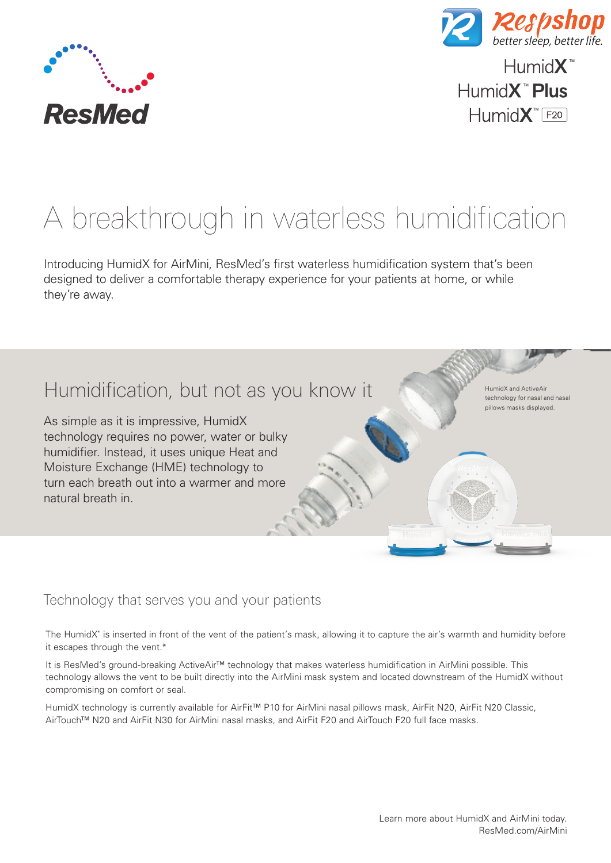



 $H$ umid $X^M$ Humid**X<sup>™</sup> Plus**  $H$ umid $X$ <sup>"</sup> $F20$ 

> HumidX and ActiveAir technology for nasal and nasal pillows masks displayed.

# A breakthrough in waterless humidification

Introducing HumidX for AirMini, ResMed's first waterless humidification system that's been designed to deliver a comfortable therapy experience for your patients at home, or while they're away.

# Humidification, but not as you know it

As simple as it is impressive, HumidX technology requires no power, water or bulky humidifier. Instead, it uses unique Heat and Moisture Exchange (HME) technology to turn each breath out into a warmer and more natural breath in.

# Technology that serves you and your patients

The HumidX\* is inserted in front of the vent of the patient's mask, allowing it to capture the air's warmth and humidity before it escapes through the vent.\*

It is ResMed's ground-breaking ActiveAir™ technology that makes waterless humidification in AirMini possible. This technology allows the vent to be built directly into the AirMini mask system and located downstream of the HumidX without compromising on comfort or seal.

HumidX technology is currently available for AirFit™ P10 for AirMini nasal pillows mask, AirFit N20, AirFit N20 Classic, AirTouch™ N20 and AirFit N30 for AirMini nasal masks, and AirFit F20 and AirTouch F20 full face masks.